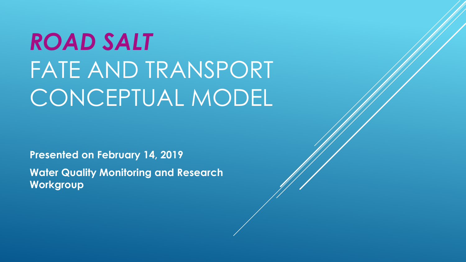# *ROAD SALT*  FATE AND TRANSPORT CONCEPTUAL MODEL

**Presented on February 14, 2019 Water Quality Monitoring and Research Workgroup**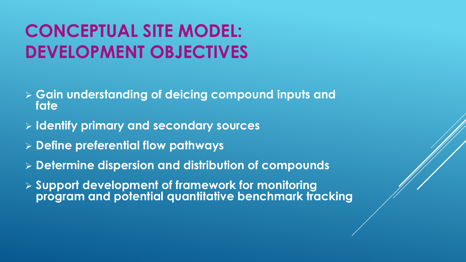## **CONCEPTUAL SITE MODEL: DEVELOPMENT OBJECTIVES**

- **Gain understanding of deicing compound inputs and fate**
- **Identify primary and secondary sources**
- **Define preferential flow pathways**
- **Determine dispersion and distribution of compounds**
- **Support development of framework for monitoring program and potential quantitative benchmark tracking**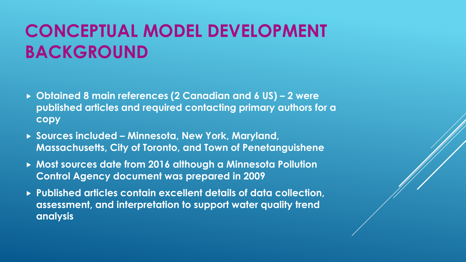### **CONCEPTUAL MODEL DEVELOPMENT BACKGROUND**

- **Obtained 8 main references (2 Canadian and 6 US) – 2 were published articles and required contacting primary authors for a copy**
- **Sources included – Minnesota, New York, Maryland, Massachusetts, City of Toronto, and Town of Penetanguishene**
- **Most sources date from 2016 although a Minnesota Pollution Control Agency document was prepared in 2009**
- **Published articles contain excellent details of data collection, assessment, and interpretation to support water quality trend analysis**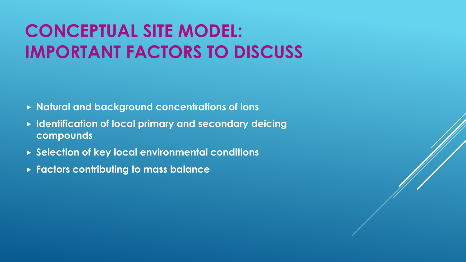## **CONCEPTUAL SITE MODEL: IMPORTANT FACTORS TO DISCUSS**

- **Natural and background concentrations of ions**
- **Identification of local primary and secondary deicing compounds**
- **Selection of key local environmental conditions**
- **Factors contributing to mass balance**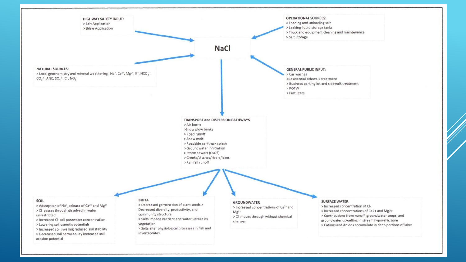